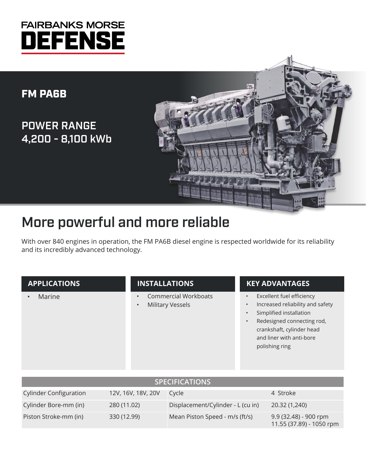

## FM PA6B

POWER RANGE 4,200 - 8,100 kWb



# More powerful and more reliable

With over 840 engines in operation, the FM PA6B diesel engine is respected worldwide for its reliability and its incredibly advanced technology.

#### **APPLICATIONS**

• Marine

### **INSTALLATIONS**

- Commercial Workboats
- Military Vessels

#### **KEY ADVANTAGES**

- **Excellent fuel efficiency**
- Increased reliability and safety
- Simplified installation
	- Redesigned connecting rod, crankshaft, cylinder head and liner with anti-bore polishing ring

| <b>SPECIFICATIONS</b>         |                    |                                   |                                                   |  |  |  |  |  |
|-------------------------------|--------------------|-----------------------------------|---------------------------------------------------|--|--|--|--|--|
| <b>Cylinder Configuration</b> | 12V, 16V, 18V, 20V | Cycle                             | 4 Stroke                                          |  |  |  |  |  |
| Cylinder Bore-mm (in)         | 280 (11.02)        | Displacement/Cylinder - L (cu in) | 20.32 (1,240)                                     |  |  |  |  |  |
| Piston Stroke-mm (in)         | 330 (12.99)        | Mean Piston Speed - m/s (ft/s)    | 9.9 (32.48) - 900 rpm<br>11.55 (37.89) - 1050 rpm |  |  |  |  |  |